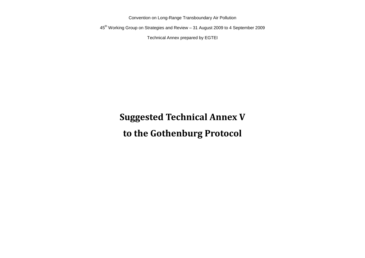Convention on Long-Range Transboundary Air Pollution

45th Working Group on Strategies and Review – 31 August 2009 to 4 September 2009

Technical Annex prepared by EGTEI

# **Suggested Technical Annex V to the Gothenburg Protocol**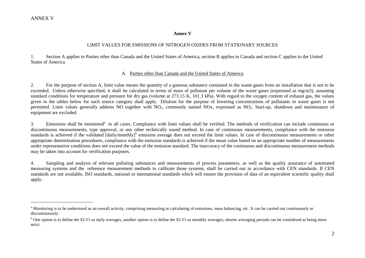$\overline{a}$ 

#### **Annex V**

#### LIMIT VALUES FOR EMISSIONS OF NITROGEN OXIDES FROM STATIONARY SOURCES

1. Section A applies to Parties other than Canada and the United States of America, section B applies to Canada and section C applies to the United States of America.

#### A. Parties other than Canada and the United States of America

2. For the purpose of section A, limit value means the quantity of a gaseous substance contained in the waste gases from an installation that is not to be exceeded. Unless otherwise specified, it shall be calculated in terms of mass of pollutant per volume of the waste gases (expressed as mg/m3), assuming standard conditions for temperature and pressure for dry gas (volume at 273.15 K, 101.3 kPa). With regard to the oxygen content of exhaust gas, the values given in the tables below for each source category shall apply. Dilution for the purpose of lowering concentrations of pollutants in waste gases is not permitted. Limit values generally address NO together with NO<sub>2</sub>, commonly named NOx, expressed as NO<sub>2</sub>. Start-up, shutdown and maintenance of equipment are excluded.

3. Emissions shall be monitored<sup>a</sup> in all cases. Compliance with limit values shall be verified. The methods of verification can include continuous or discontinuous measurements, type approval, or any other technically sound method. In case of continuous measurements, compliance with the emission standards is achieved if the validated [daily/monthly]<sup>b</sup> emission average does not exceed the limit values. In case of discontinuous measurements or other appropriate determination procedures, compliance with the emission standards is achieved if the mean value based on an appropriate number of measurements under representative conditions does not exceed the value of the emission standard. The inaccuracy of the continuous and discontinuous measurement methods may be taken into account for verification purposes.

4. Sampling and analysis of relevant polluting substances and measurements of process parameters, as well as the quality assurance of automated measuring systems and the reference measurement methods to calibrate those systems, shall be carried out in accordance with CEN standards. If CEN standards are not available, ISO standards, national or international standards which will ensure the provision of data of an equivalent scientific quality shall apply.

<sup>&</sup>lt;sup>a</sup> Monitoring is to be understood as an overall activity, comprising measuring or calculating of emissions, mass balancing, etc. It can be carried out continuously or discontinuously.

<sup>&</sup>lt;sup>b</sup> One option is to define the ELVs as daily averages, another option is to define the ELVs as monthly averages; shorter averaging periods can be considered as being more strict.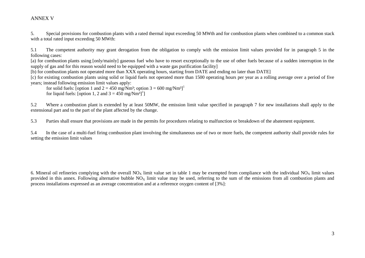5. Special provisions for combustion plants with a rated thermal input exceeding 50 MWth and for combustion plants when combined to a common stack with a total rated input exceeding 50 MWth:

5.1 The competent authority may grant derogation from the obligation to comply with the emission limit values provided for in paragraph 5 in the following cases:

[a) for combustion plants using [only/mainly] gaseous fuel who have to resort exceptionally to the use of other fuels because of a sudden interruption in the supply of gas and for this reason would need to be equipped with a waste gas purification facility]

[b) for combustion plants not operated more than XXX operating hours, starting from DATE and ending no later than DATE]

[c) for existing combustion plants using solid or liquid fuels not operated more than 1500 operating hours per year as a rolling average over a period of five years; instead following emission limit values apply:

for solid fuels: [option 1 and  $2 = 450$  mg/Nm<sup>3</sup>; option  $3 = 600$  mg/Nm<sup>3</sup>]<sup>1</sup> for liquid fuels: [option 1, 2 and  $3 = 450$  mg/Nm<sup>3</sup>]<sup>1</sup>]

5.2 Where a combustion plant is extended by at least 50MW, the emission limit value specified in paragraph 7 for new installations shall apply to the extensional part and to the part of the plant affected by the change.

5.3 Parties shall ensure that provisions are made in the permits for procedures relating to malfunction or breakdown of the abatement equipment.

5.4 In the case of a multi-fuel firing combustion plant involving the simultaneous use of two or more fuels, the competent authority shall provide rules for setting the emission limit values

6. Mineral oil refineries complying with the overall  $NO<sub>x</sub>$  limit value set in table 1 may be exempted from compliance with the individual  $NO<sub>x</sub>$  limit values provided in this annex. Following alternative bubble  $N_{\alpha}$  limit value may be used, referring to the sum of the emissions from all combustion plants and process installations expressed as an average concentration and at a reference oxygen content of [3%]: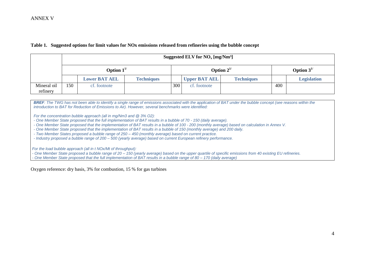#### **Table 1. Suggested options for limit values for NOx emissions released from refineries using the bubble concept**

|                         |      |                      |                   |                  | Suggested ELV for $NO_x$ [mg/Nm <sup>3</sup> ] |                   |     |                    |
|-------------------------|------|----------------------|-------------------|------------------|------------------------------------------------|-------------------|-----|--------------------|
|                         |      | Option $1^{1/2}$     |                   | Option $2^{1/2}$ |                                                |                   |     | Option $3^{1/2}$   |
|                         |      | <b>Lower BAT AEL</b> | <b>Techniques</b> |                  | <b>Upper BAT AEL</b>                           | <b>Techniques</b> |     | <b>Legislation</b> |
| Mineral oil<br>refinery | l 50 | cf. footnote         |                   | 300              | cf. footnote                                   |                   | 400 |                    |

**BREF**: The TWG has not been able to identify a single range of emissions associated with the application of BAT under the bubble concept (see reasons within the *introduction to BAT for Reduction of Emissions to Air). However, several benchmarks were identified:*

*For the concentration bubble approach (all in mg/Nm3 and @ 3% O2):*

- *- One Member State proposed that the full implementation of BAT results in a bubble of 70 - 150 (daily average).*
- *- One Member State proposed that the implementation of BAT results in a bubble of 100 - 200 (monthly average) based on calculation in Annex V.*
- *- One Member State proposed that the implementation of BAT results in a bubble of 150 (monthly average) and 200 daily.*

*- Two Member States proposed a bubble range of 250 – 450 (monthly average) based on current practice.*

*- Industry proposed a bubble range of 200 – 500 (yearly average) based on current European refinery performance.*

*For the load bubble approach (all in t NOx/Mt of throughput):*

*- One Member State proposed a bubble range of 20 – 150 (yearly average) based on the upper quartile of specific emissions from 40 existing EU refineries.*

*- One Member State proposed that the full implementation of BAT results in a bubble range of 80 – 170 (daily average)*

Oxygen reference: dry basis, 3% for combustion, 15 % for gas turbines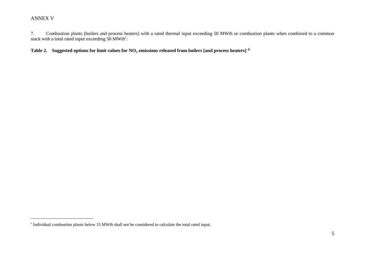$\overline{a}$ 

7. Combustion plants (boilers and process heaters) with a rated thermal input exceeding 50 MWth or combustion plants when combined to a common stack with a total rated input exceeding  $50$  MWth<sup>c</sup>:

**Table 2.** Suggested options for limit values for NO<sub>x</sub> emissions released from boilers [and process heaters]  $\frac{a}{a}$ 

<sup>&</sup>lt;sup>c</sup> Individual combustion plants below 15 MWth shall not be considered to calculate the total rated input.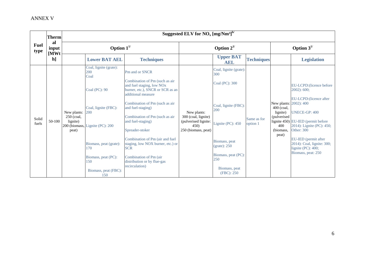|                     | <b>Therm</b>        |                                                |                                                                                                                                                                                                                        |                                                                                                                                                                                                                                                                                                                                                                                                                                                       | Suggested ELV for $NO_x$ [mg/Nm <sup>3]b/</sup>                                          |                                                                                                                                                                                                   |                         |                                                                                                |                                                                                                                                                                                                                                                                                        |  |
|---------------------|---------------------|------------------------------------------------|------------------------------------------------------------------------------------------------------------------------------------------------------------------------------------------------------------------------|-------------------------------------------------------------------------------------------------------------------------------------------------------------------------------------------------------------------------------------------------------------------------------------------------------------------------------------------------------------------------------------------------------------------------------------------------------|------------------------------------------------------------------------------------------|---------------------------------------------------------------------------------------------------------------------------------------------------------------------------------------------------|-------------------------|------------------------------------------------------------------------------------------------|----------------------------------------------------------------------------------------------------------------------------------------------------------------------------------------------------------------------------------------------------------------------------------------|--|
| <b>Fuel</b><br>type | al<br>input<br>[MWt |                                                | Option $1^{1/2}$                                                                                                                                                                                                       |                                                                                                                                                                                                                                                                                                                                                                                                                                                       | Option $2^{1/2}$                                                                         |                                                                                                                                                                                                   |                         |                                                                                                | Option $3^{1/2}$                                                                                                                                                                                                                                                                       |  |
|                     | $\mathbf{h}$        |                                                | <b>Lower BAT AEL</b>                                                                                                                                                                                                   | <b>Techniques</b>                                                                                                                                                                                                                                                                                                                                                                                                                                     |                                                                                          | <b>Upper BAT</b><br><b>AEL</b>                                                                                                                                                                    | <b>Techniques</b>       |                                                                                                | <b>Legislation</b>                                                                                                                                                                                                                                                                     |  |
| Solid<br>fuels      | $50-100$            | New plants:<br>250 (coal,<br>lignite)<br>peat) | Coal, lignite (grate):<br>200<br>Coal<br>Coal (PC): 90<br>Coal, lignite (FBC):<br>200<br>200 (biomass, Lignite (PC): 200<br>Biomass, peat (grate):<br>170<br>Biomass, peat (PC):<br>150<br>Biomass, peat (FBC):<br>150 | Pm and or SNCR<br>Combination of Pm (such as air<br>and fuel staging, low NO <sub>x</sub><br>burner, etc.), SNCR or SCR as an<br>additional measure<br>Combination of Pm (such as air<br>and fuel-staging)<br>Combination of Pm (such as air<br>and fuel-staging)<br>Spreader-stoker<br>Combination of Pm (air and fuel<br>staging, low NOX burner, etc.) or<br><b>SCR</b><br>Combination of Pm (air<br>distribution or by flue-gas<br>recirculation) | New plants:<br>300 (coal, lignite)<br>(pulverised lignite:<br>450<br>250 (biomass, peat) | Coal, lignite (grate):<br>300<br>Coal (PC): 300<br>Coal, lignite (FBC):<br>200<br>Lignite (PC): 450<br>Biomass, peat<br>(grate): 250<br>Biomass, peat (PC):<br>250<br>Biomass, peat<br>(FBC): 250 | Same as for<br>option 1 | New plants: 2002): 400<br>$400$ (coal,<br>lignite)<br>(pulverised<br>400<br>(biomass,<br>peat) | EU-LCPD: (licence before<br>$2002$ : 600;<br>EU-LCPD: (licence after<br><b>UNECE-GP: 400</b><br>lignite 450) EU-IED (permit before<br>2014): Lignite (PC): 450;<br><b>Other: 300</b><br>EU-IED (permit after<br>2014): Coal, lignite: 300;<br>lignite (PC): 400;<br>Biomass, peat: 250 |  |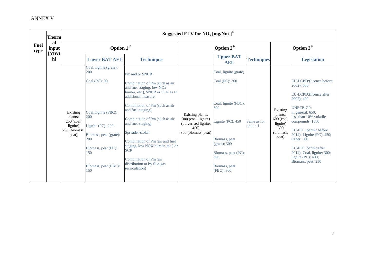|                     | <b>Therm</b>        |                                                                         |                                                                                                                                                                                                     |                                                                                                                                                                                                                                                                                                                                                                                                                                                       | Suggested ELV for $NO_x$ [mg/Nm <sup>3]b/</sup>                                                |                                                                                                                                                                                           |                         |                                                                           |                                                                                                                                                                                                                                                                                                                                                    |  |
|---------------------|---------------------|-------------------------------------------------------------------------|-----------------------------------------------------------------------------------------------------------------------------------------------------------------------------------------------------|-------------------------------------------------------------------------------------------------------------------------------------------------------------------------------------------------------------------------------------------------------------------------------------------------------------------------------------------------------------------------------------------------------------------------------------------------------|------------------------------------------------------------------------------------------------|-------------------------------------------------------------------------------------------------------------------------------------------------------------------------------------------|-------------------------|---------------------------------------------------------------------------|----------------------------------------------------------------------------------------------------------------------------------------------------------------------------------------------------------------------------------------------------------------------------------------------------------------------------------------------------|--|
| <b>Fuel</b><br>type | al<br>input<br>[MWt |                                                                         | Option $1^{1/2}$                                                                                                                                                                                    |                                                                                                                                                                                                                                                                                                                                                                                                                                                       |                                                                                                | Option $2^{1/2}$                                                                                                                                                                          |                         |                                                                           | Option $3^{1/2}$                                                                                                                                                                                                                                                                                                                                   |  |
|                     | $\mathbf{h}$        |                                                                         | <b>Lower BAT AEL</b>                                                                                                                                                                                | <b>Techniques</b>                                                                                                                                                                                                                                                                                                                                                                                                                                     |                                                                                                | <b>Upper BAT</b><br><b>AEL</b>                                                                                                                                                            | <b>Techniques</b>       |                                                                           | <b>Legislation</b>                                                                                                                                                                                                                                                                                                                                 |  |
|                     |                     | Existing<br>plants:<br>250 (coal,<br>lignite)<br>250 (biomass,<br>peat) | Coal, lignite (grate):<br>200<br>Coal (PC): 90<br>Coal, lignite (FBC):<br>200<br>Lignite $(PC)$ : 200<br>Biomass, peat (grate):<br>200<br>Biomass, peat (PC):<br>150<br>Biomass, peat (FBC):<br>150 | Pm and or SNCR<br>Combination of Pm (such as air<br>and fuel staging, low NO <sub>x</sub><br>burner, etc.), SNCR or SCR as an<br>additional measure<br>Combination of Pm (such as air<br>and fuel-staging)<br>Combination of Pm (such as air<br>and fuel-staging)<br>Spreader-stoker<br>Combination of Pm (air and fuel<br>staging, low NOX burner, etc.) or<br><b>SCR</b><br>Combination of Pm (air<br>distribution or by flue-gas<br>recirculation) | Existing plants:<br>300 (coal, lignite)<br>(pulverised lignite:<br>450)<br>300 (biomass, peat) | Coal, lignite (grate)<br>Coal (PC): 300<br>Coal, lignite (FBC):<br>300<br>Lignite (PC): 450<br>Biomass, peat<br>(grate): 300<br>Biomass, peat (PC):<br>300<br>Biomass, peat<br>(FBC): 300 | Same as for<br>option 1 | Existing<br>plants:<br>600 (coal<br>lignite)<br>600<br>(biomass,<br>peat) | EU-LCPD: (licence before)<br>2002): 600<br>EU-LCPD: (licence after<br>2002): 400<br><b>UNECE-GP:</b><br>in general: 650;<br>less than 10% volatile<br>compounds: 1300<br>EU-IED (permit before<br>2014): Lignite (PC): 450;<br><b>Other: 300</b><br>EU-IED (permit after<br>2014): Coal, lignite: 300;<br>lignite (PC): 400;<br>Biomass, peat: 250 |  |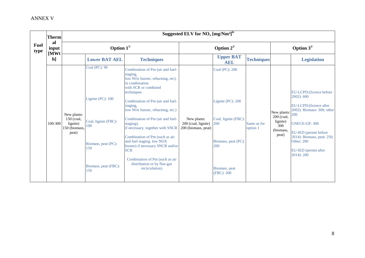|                     | <b>Therm</b>        |                                                                 |                                                                                                                                   | Suggested ELV for $NO_x$ [mg/Nm <sup>3]b/</sup>                                                                                                                                                                                                                                                                                                                                                                                                                                                                                               |                                                           |                                                                                                                                |                         |                                                                                                                            |                                                                                                                                                                                                                                           |  |  |
|---------------------|---------------------|-----------------------------------------------------------------|-----------------------------------------------------------------------------------------------------------------------------------|-----------------------------------------------------------------------------------------------------------------------------------------------------------------------------------------------------------------------------------------------------------------------------------------------------------------------------------------------------------------------------------------------------------------------------------------------------------------------------------------------------------------------------------------------|-----------------------------------------------------------|--------------------------------------------------------------------------------------------------------------------------------|-------------------------|----------------------------------------------------------------------------------------------------------------------------|-------------------------------------------------------------------------------------------------------------------------------------------------------------------------------------------------------------------------------------------|--|--|
| <b>Fuel</b><br>type | al<br>input<br>[MWt |                                                                 | Option $1^{1/2}$                                                                                                                  |                                                                                                                                                                                                                                                                                                                                                                                                                                                                                                                                               |                                                           | Option $2^{1/2}$                                                                                                               |                         |                                                                                                                            | Option $3^{1/2}$                                                                                                                                                                                                                          |  |  |
|                     | $\mathbf{h}$        |                                                                 | <b>Lower BAT AEL</b>                                                                                                              | <b>Techniques</b>                                                                                                                                                                                                                                                                                                                                                                                                                                                                                                                             |                                                           | <b>Upper BAT</b><br><b>AEL</b>                                                                                                 | <b>Techniques</b>       |                                                                                                                            | <b>Legislation</b>                                                                                                                                                                                                                        |  |  |
|                     | 100-300             | New plants:<br>150 (coal,<br>lignite)<br>150 (biomass,<br>peat) | Coal (PC): 90<br>Lignite $(PC)$ : 100<br>Coal, lignite (FBC):<br>100<br>Biomass, peat (PC):<br>150<br>Biomass, peat (FBC):<br>150 | Combination of Pm (air and fuel-<br>staging,<br>low NO <sub>x</sub> burner, reburning, etc),<br>in combination<br>with SCR or combined<br>techniques<br>Combination of Pm (air and fuel-<br>staging,<br>low NO <sub>x</sub> burner, reburning, etc.)<br>Combination of Pm (air and fuel-<br>staging),<br>if necessary, together with SNCR<br>Combination of Pm (such as air<br>and fuel staging, low NOX<br>burner) if necessary SNCR and/or<br><b>SCR</b><br>Combination of Pm (such as air<br>distribution or by flue-gas<br>recirculation) | New plants:<br>200 (coal, lignite)<br>200 (biomass, peat) | Coal (PC): 200<br>Lignite (PC): 200<br>Coal, lignite (FBC)<br>200<br>Biomass, peat (PC):<br>200<br>Biomass, peat<br>(FBC): 200 | Same as for<br>option 1 | New plants: $\begin{bmatrix} 200 \\ 200 \end{bmatrix}$<br>200 (coal,<br>lignite)<br>$\overline{300}$<br>(biomass,<br>peat) | EU-LCPD: (licence before<br>2002): 600<br>EU-LCPD: (licence after<br>2002): Biomass: 300; other<br><b>UNECE-GP: 300</b><br>EU-IED (permit before<br>2014): Biomass, peat: 250;<br><b>Other: 200</b><br>EU-IED (permit after<br>2014): 200 |  |  |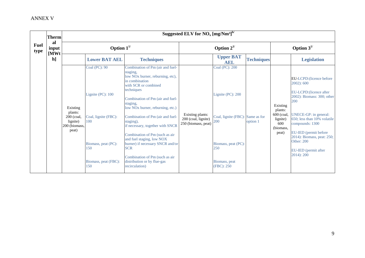|                     | <b>Therm</b>         |                                                                           |                                                                                                                                       |                                                                                                                                                                                                                                                                                                                                                                                                                                                                                                                                               | Suggested ELV for $NO_x$ [mg/ $Nm^3$ ] <sup>b/</sup>           |                                                                                                                                             |                   |                                                                            |                                                                                                                                                                                                                                                                                                      |  |
|---------------------|----------------------|---------------------------------------------------------------------------|---------------------------------------------------------------------------------------------------------------------------------------|-----------------------------------------------------------------------------------------------------------------------------------------------------------------------------------------------------------------------------------------------------------------------------------------------------------------------------------------------------------------------------------------------------------------------------------------------------------------------------------------------------------------------------------------------|----------------------------------------------------------------|---------------------------------------------------------------------------------------------------------------------------------------------|-------------------|----------------------------------------------------------------------------|------------------------------------------------------------------------------------------------------------------------------------------------------------------------------------------------------------------------------------------------------------------------------------------------------|--|
| <b>Fuel</b><br>type | al<br>input          |                                                                           | Option $1^{1/2}$                                                                                                                      |                                                                                                                                                                                                                                                                                                                                                                                                                                                                                                                                               |                                                                | Option $2^{1/2}$                                                                                                                            |                   |                                                                            | Option $3^{1/2}$                                                                                                                                                                                                                                                                                     |  |
|                     | [MWt<br>$\mathbf{h}$ |                                                                           | <b>Lower BAT AEL</b>                                                                                                                  | <b>Techniques</b>                                                                                                                                                                                                                                                                                                                                                                                                                                                                                                                             |                                                                | <b>Upper BAT</b><br><b>AEL</b>                                                                                                              | <b>Techniques</b> |                                                                            | <b>Legislation</b>                                                                                                                                                                                                                                                                                   |  |
|                     |                      | Existing<br>plants:<br>$200$ (coal,<br>lignite)<br>200 (biomass,<br>peat) | <b>Coal (PC): 90</b><br>Lignite (PC): 100<br>Coal, lignite (FBC):<br>100<br>Biomass, peat (PC):<br>150<br>Biomass, peat (FBC):<br>150 | Combination of Pm (air and fuel-<br>staging,<br>low NO <sub>x</sub> burner, reburning, etc),<br>in combination<br>with SCR or combined<br>techniques<br>Combination of Pm (air and fuel-<br>staging,<br>low NO <sub>x</sub> burner, reburning, etc.)<br>Combination of Pm (air and fuel-<br>staging),<br>if necessary, together with SNCR<br>Combination of Pm (such as air<br>and fuel staging, low NOX<br>burner) if necessary SNCR and/or<br><b>SCR</b><br>Combination of Pm (such as air<br>distribution or by flue-gas<br>recirculation) | Existing plants:<br>200 (coal, lignite)<br>250 (biomass, peat) | Coal (PC): 200<br>Lignite (PC): 200<br>Coal, lignite (FBC): Same as for<br>200<br>Biomass, peat (PC):<br>250<br>Biomass, peat<br>(FBC): 250 | option 1          | Existing<br>plants:<br>600 (coal,<br>lignite)<br>600<br>(biomass,<br>peat) | EU-LCPD: (licence before)<br>2002): 600<br>EU-LCPD: (licence after<br>2002): Biomass: 300; other<br>200<br>UNECE-GP: in general:<br>650; less than 10% volatile<br>compounds: 1300<br>EU-IED (permit before<br>2014): Biomass, peat: 250;<br><b>Other: 200</b><br>EU-IED (permit after<br>2014): 200 |  |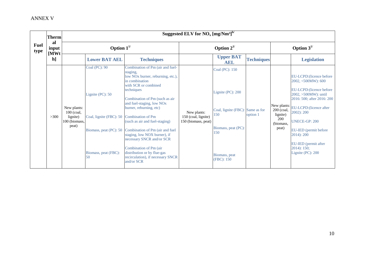|                     | Therm                                           |                                                                   | Suggested ELV for $NO_x$ [mg/Nm <sup>3]b/</sup>                                                                      |                                                                                                                                                                                                                                                                                                                                                                                                                                                                                                                           |                                                           |                                                                                                                                             |                   |                                                                    |                                                                                                                                                                                                                                                                                                         |  |  |
|---------------------|-------------------------------------------------|-------------------------------------------------------------------|----------------------------------------------------------------------------------------------------------------------|---------------------------------------------------------------------------------------------------------------------------------------------------------------------------------------------------------------------------------------------------------------------------------------------------------------------------------------------------------------------------------------------------------------------------------------------------------------------------------------------------------------------------|-----------------------------------------------------------|---------------------------------------------------------------------------------------------------------------------------------------------|-------------------|--------------------------------------------------------------------|---------------------------------------------------------------------------------------------------------------------------------------------------------------------------------------------------------------------------------------------------------------------------------------------------------|--|--|
| <b>Fuel</b><br>type | al<br>input<br>$\mathbf{M}\mathbf{W}\mathbf{t}$ |                                                                   | Option $1^{1/2}$                                                                                                     |                                                                                                                                                                                                                                                                                                                                                                                                                                                                                                                           |                                                           | Option $2^{1/2}$                                                                                                                            |                   | Option $3^{1/2}$                                                   |                                                                                                                                                                                                                                                                                                         |  |  |
|                     | $\mathbf{h}$                                    |                                                                   | <b>Lower BAT AEL</b>                                                                                                 | <b>Techniques</b>                                                                                                                                                                                                                                                                                                                                                                                                                                                                                                         |                                                           | <b>Upper BAT</b><br><b>AEL</b>                                                                                                              | <b>Techniques</b> |                                                                    | <b>Legislation</b>                                                                                                                                                                                                                                                                                      |  |  |
|                     | >300                                            | New plants:<br>$100$ (coal,<br>lignite)<br>100 (biomass,<br>peat) | Coal (PC): 90<br>Lignite (PC): 50<br>Coal, lignite (FBC): 50<br>Biomass, peat (PC): 50<br>Biomass, peat (FBC):<br>50 | Combination of Pm (air and fuel-<br>staging,<br>low NO <sub>x</sub> burner, reburning, etc.),<br>in combination<br>with SCR or combined<br>techniques<br>Combination of Pm (such as air<br>and fuel-staging, low NOx<br>burner, reburning, etc)<br><b>Combination of Pm</b><br>(such as air and fuel-staging)<br>Combination of Pm (air and fuel<br>staging, low NOX burner), if<br>necessary SNCR and/or SCR<br>Combination of Pm (air<br>distribution or by flue-gas<br>recirculation), if necessary SNCR<br>and/or SCR | New plants:<br>150 (coal, lignite)<br>150 (biomass, peat) | Coal (PC): 150<br>Lignite (PC): 200<br>Coal, lignite (FBC): Same as for<br>150<br>Biomass, peat (PC):<br>150<br>Biomass, peat<br>(FBC): 150 | option 1          | New plants:<br>200 (coal,<br>lignite)<br>200<br>(biomass,<br>peat) | EU-LCPD: (licence before)<br>2002, <500MW): 600<br>EU-LCPD: (licence before<br>2002, >500MW): until<br>2016: 500; after 2016: 200<br>EU-LCPD: (licence after<br>2002): 200<br><b>UNECE-GP: 200</b><br>EU-IED (permit before<br>2014): 200<br>EU-IED (permit after<br>$2014$ : 150;<br>Lignite (PC): 200 |  |  |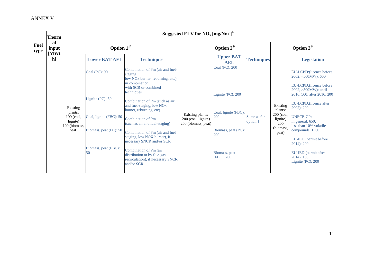|                     | <b>Therm</b>        |                                                                         |                                                                                                                      |                                                                                                                                                                                                                                                                                                                                                                                                                                                                                                                           | Suggested ELV for $NO_x$ [mg/Nm <sup>3]b/</sup>                |                                                                                                                                 |                         |                                                                            |                                                                                                                                                                                                                                                                                                                                                                      |  |
|---------------------|---------------------|-------------------------------------------------------------------------|----------------------------------------------------------------------------------------------------------------------|---------------------------------------------------------------------------------------------------------------------------------------------------------------------------------------------------------------------------------------------------------------------------------------------------------------------------------------------------------------------------------------------------------------------------------------------------------------------------------------------------------------------------|----------------------------------------------------------------|---------------------------------------------------------------------------------------------------------------------------------|-------------------------|----------------------------------------------------------------------------|----------------------------------------------------------------------------------------------------------------------------------------------------------------------------------------------------------------------------------------------------------------------------------------------------------------------------------------------------------------------|--|
| <b>Fuel</b><br>type | al<br>input<br>[MWt |                                                                         | Option $1^{1/2}$                                                                                                     |                                                                                                                                                                                                                                                                                                                                                                                                                                                                                                                           |                                                                | Option $2^{1/2}$                                                                                                                |                         | Option $3^{1/2}$                                                           |                                                                                                                                                                                                                                                                                                                                                                      |  |
|                     | $\mathbf{h}$        |                                                                         | <b>Lower BAT AEL</b>                                                                                                 | <b>Techniques</b>                                                                                                                                                                                                                                                                                                                                                                                                                                                                                                         |                                                                | <b>Upper BAT</b><br><b>AEL</b>                                                                                                  | <b>Techniques</b>       |                                                                            | <b>Legislation</b>                                                                                                                                                                                                                                                                                                                                                   |  |
|                     |                     | Existing<br>plants:<br>100 (coal,<br>lignite)<br>100 (biomass,<br>peat) | Coal (PC): 90<br>Lignite (PC): 50<br>Coal, lignite (FBC): 50<br>Biomass, peat (PC): 50<br>Biomass, peat (FBC):<br>50 | Combination of Pm (air and fuel-<br>staging,<br>low NO <sub>x</sub> burner, reburning, etc.),<br>in combination<br>with SCR or combined<br>techniques<br>Combination of Pm (such as air<br>and fuel-staging, low NOx<br>burner, reburning, etc)<br><b>Combination of Pm</b><br>(such as air and fuel-staging)<br>Combination of Pm (air and fuel<br>staging, low NOX burner), if<br>necessary SNCR and/or SCR<br>Combination of Pm (air<br>distribution or by flue-gas<br>recirculation), if necessary SNCR<br>and/or SCR | Existing plants:<br>200 (coal, lignite)<br>200 (biomass, peat) | Coal (PC): 200<br>Lignite (PC): 200<br>Coal, lignite (FBC):<br>200<br>Biomass, peat (PC):<br>200<br>Biomass, peat<br>(FBC): 200 | Same as for<br>option 1 | Existing<br>plants:<br>200 (coal,<br>lignite)<br>200<br>(biomass,<br>peat) | EU-LCPD: (licence before<br>2002, <500MW): 600<br>EU-LCPD: (licence before)<br>2002, >500MW): until<br>2016: 500; after 2016: 200<br>EU-LCPD: (licence after<br>2002): 200<br><b>UNECE-GP:</b><br>in general: 650;<br>less than 10% volatile<br>compounds: 1300<br>EU-IED (permit before<br>2014): 200<br>EU-IED (permit after<br>$2014$ : 150;<br>Lignite (PC): 200 |  |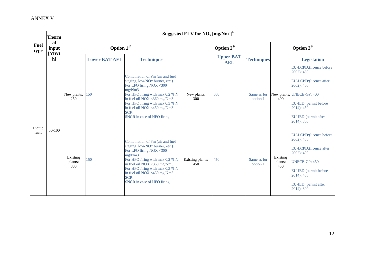|              | Therm       |                            |                      |                                                                                                                                                                                                                                                                                                     | Suggested ELV for $NO_x [mg/Nm^3]^{b/2}$ |                                |                         |                            |                                                                                                                                                                                          |
|--------------|-------------|----------------------------|----------------------|-----------------------------------------------------------------------------------------------------------------------------------------------------------------------------------------------------------------------------------------------------------------------------------------------------|------------------------------------------|--------------------------------|-------------------------|----------------------------|------------------------------------------------------------------------------------------------------------------------------------------------------------------------------------------|
| Fuel<br>type | al<br>input |                            | Option $1^{1/2}$     |                                                                                                                                                                                                                                                                                                     | Option $2^{1/2}$                         |                                |                         | Option $3^{1/2}$           |                                                                                                                                                                                          |
|              | [MWt<br>h]  |                            | <b>Lower BAT AEL</b> | <b>Techniques</b>                                                                                                                                                                                                                                                                                   |                                          | <b>Upper BAT</b><br><b>AEL</b> | <b>Techniques</b>       |                            | <b>Legislation</b>                                                                                                                                                                       |
| Liquid       |             | New plants:<br>250         | 150                  | Combination of Pm (air and fuel)<br>staging, low-NO <sub>x</sub> burner, etc.)<br>For LFO firing NOX <300<br>mg/Nm3<br>For HFO firing with max 0,2 % N<br>in fuel oil NOX <360 mg/Nm3<br>For HFO firing with max 0,3 % N<br>in fuel oil NOX <450 mg/Nm3<br><b>SCR</b><br>SNCR in case of HFO firing | New plants:<br>300                       | 300                            | Same as for<br>option 1 | 400                        | EU-LCPD:(licence before<br>2002): 450<br>EU-LCPD: (licence after<br>2002): 400<br>New plants: UNECE-GP: 400<br>EU-IED (permit before<br>2014): 450<br>EU-IED (permit after<br>2014): 300 |
| fuels        | 50-100      | Existing<br>plants:<br>300 | 150                  | Combination of Pm (air and fuel<br>staging, low-NO <sub>x</sub> burner, etc.)<br>For LFO firing NOX <300<br>mg/Nm3<br>For HFO firing with max 0,2 % N<br>in fuel oil NOX <360 mg/Nm3<br>For HFO firing with max 0,3 % N<br>in fuel oil NOX <450 mg/Nm3<br><b>SCR</b><br>SNCR in case of HFO firing  | Existing plants:<br>450                  | 450                            | Same as for<br>option 1 | Existing<br>plants:<br>450 | EU-LCPD:(licence before<br>2002): 450<br>EU-LCPD:(licence after<br>2002): 400<br><b>UNECE-GP: 450</b><br>EU-IED (permit before<br>2014): 450<br>EU-IED (permit after<br>2014): 300       |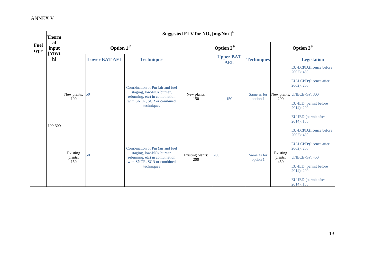|                     | <b>Therm</b>        |                            |                      |                                                                                                                                                       | Suggested ELV for $NO_x$ [mg/Nm <sup>3]b/</sup> |                                |                         |                            |                                                                                                                                                                                          |
|---------------------|---------------------|----------------------------|----------------------|-------------------------------------------------------------------------------------------------------------------------------------------------------|-------------------------------------------------|--------------------------------|-------------------------|----------------------------|------------------------------------------------------------------------------------------------------------------------------------------------------------------------------------------|
| <b>Fuel</b><br>type | al<br>input<br>[MWt |                            | Option $1^{1/2}$     |                                                                                                                                                       |                                                 | Option $2^{1/2}$               |                         | Option $3^{1/2}$           |                                                                                                                                                                                          |
|                     | $\mathbf{h}$        |                            | <b>Lower BAT AEL</b> | <b>Techniques</b>                                                                                                                                     |                                                 | <b>Upper BAT</b><br><b>AEL</b> | <b>Techniques</b>       |                            | <b>Legislation</b>                                                                                                                                                                       |
|                     | 100-300             | New plants:<br>100         | 50                   | Combination of Pm (air and fuel<br>staging, low-NO <sub>x</sub> burner,<br>reburning, etc) in combination<br>with SNCR, SCR or combined<br>techniques | New plants:<br>150                              | 150                            | Same as for<br>option 1 | 200                        | EU-LCPD:(licence before<br>2002): 450<br>EU-LCPD: (licence after<br>2002): 200<br>New plants: UNECE-GP: 300<br>EU-IED (permit before<br>2014): 200<br>EU-IED (permit after<br>2014): 150 |
|                     |                     | Existing<br>plants:<br>150 | 50                   | Combination of Pm (air and fuel<br>staging, low-NO <sub>x</sub> burner,<br>reburning, etc) in combination<br>with SNCR, SCR or combined<br>techniques | Existing plants:<br>200                         | 200                            | Same as for<br>option 1 | Existing<br>plants:<br>450 | EU-LCPD:(licence before<br>2002): 450<br>EU-LCPD:(licence after<br>2002): 200<br><b>UNECE-GP: 450</b><br>EU-IED (permit before<br>2014): 200<br>EU-IED (permit after<br>2014): 150       |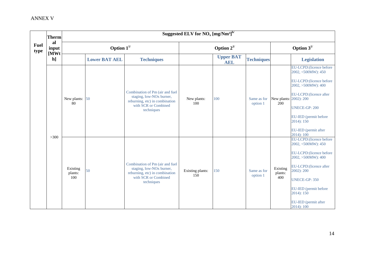|                     | <b>Therm</b>        |                            |                      |                                                                                                                                                 | Suggested ELV for $NO_x$ [mg/Nm <sup>3]b/</sup> |                                |                         |                               |                                                                                                                                                                                                                                                             |
|---------------------|---------------------|----------------------------|----------------------|-------------------------------------------------------------------------------------------------------------------------------------------------|-------------------------------------------------|--------------------------------|-------------------------|-------------------------------|-------------------------------------------------------------------------------------------------------------------------------------------------------------------------------------------------------------------------------------------------------------|
| <b>Fuel</b><br>type | al<br>input<br>[MWt |                            | Option $1^{1/2}$     |                                                                                                                                                 |                                                 | Option $2^{1/2}$               |                         | Option $3^{1/2}$              |                                                                                                                                                                                                                                                             |
|                     | h]                  |                            | <b>Lower BAT AEL</b> | <b>Techniques</b>                                                                                                                               |                                                 | <b>Upper BAT</b><br><b>AEL</b> | <b>Techniques</b>       |                               | <b>Legislation</b>                                                                                                                                                                                                                                          |
|                     |                     | New plants: 50<br>80       |                      | Combination of Pm (air and fuel<br>staging, low-NO <sub>x</sub> burner,<br>reburning, etc) in combination<br>with SCR or Combined<br>techniques | New plants:<br>100                              | 100                            | Same as for<br>option 1 | New plants: 2002): 200<br>200 | EU-LCPD:(licence before<br>2002, <500MW): 450<br>EU-LCPD: (licence before<br>2002, >500MW): 400<br>EU-LCPD: (licence after<br><b>UNECE-GP: 200</b><br>EU-IED (permit before<br>2014): 150<br>EU-IED (permit after                                           |
|                     | >300                | Existing<br>plants:<br>100 | 50                   | Combination of Pm (air and fuel<br>staging, low-NO <sub>x</sub> burner,<br>reburning, etc) in combination<br>with SCR or Combined<br>techniques | Existing plants:<br>150                         | 150                            | Same as for<br>option 1 | Existing<br>plants:<br>400    | 2014): 100<br>EU-LCPD:(licence before<br>2002, <500MW): 450<br>EU-LCPD: (licence before<br>2002, >500MW): 400<br>EU-LCPD: (licence after<br>2002): 200<br><b>UNECE-GP: 350</b><br>EU-IED (permit before<br>2014): 150<br>EU-IED (permit after<br>2014): 100 |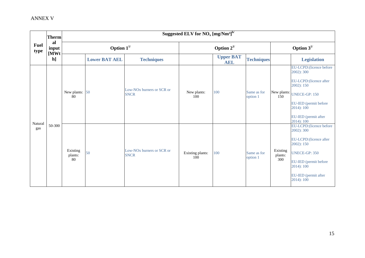|                     | <b>Therm</b>        |                           |                      |                                                      | Suggested ELV for $\overline{NO_x [mg/Nm^3]}^{b/}$ |                                |                         |                            |                                                                                                                                                                                          |
|---------------------|---------------------|---------------------------|----------------------|------------------------------------------------------|----------------------------------------------------|--------------------------------|-------------------------|----------------------------|------------------------------------------------------------------------------------------------------------------------------------------------------------------------------------------|
| <b>Fuel</b><br>type | al<br>input<br>[MWt |                           | Option $1^{1/2}$     |                                                      |                                                    | Option $2^{1/2}$               |                         | Option $3^{1/2}$           |                                                                                                                                                                                          |
|                     | h]                  |                           | <b>Lower BAT AEL</b> | <b>Techniques</b>                                    |                                                    | <b>Upper BAT</b><br><b>AEL</b> | <b>Techniques</b>       |                            | <b>Legislation</b>                                                                                                                                                                       |
|                     |                     | New plants: 50<br>80      |                      | Low-NO <sub>x</sub> burners or SCR or<br><b>SNCR</b> | New plants:<br>100                                 | 100                            | Same as for<br>option 1 | 150                        | EU-LCPD:(licence before<br>2002): 300<br>EU-LCPD: (licence after<br>2002): 150<br>New plants: UNECE-GP: 150<br>EU-IED (permit before<br>2014): 100<br>EU-IED (permit after<br>2014): 100 |
| Natural<br>gas      | 50-300              | Existing<br>plants:<br>80 | 50                   | Low-NO <sub>x</sub> burners or SCR or<br><b>SNCR</b> | Existing plants:<br>100                            | 100                            | Same as for<br>option 1 | Existing<br>plants:<br>300 | EU-LCPD:(licence before<br>2002): 300<br>EU-LCPD: (licence after<br>2002): 150<br><b>UNECE-GP: 350</b><br>EU-IED (permit before<br>2014): 100<br>EU-IED (permit after<br>2014): 100      |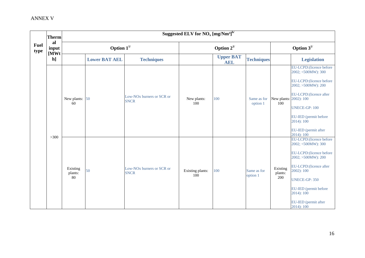|                     | <b>Therm</b> |                           |                      |                                                      | Suggested ELV for $NO_x$ [mg/Nm <sup>3]b/</sup> |                                |                         |                            |                                                                                                                                                                                                                                                  |
|---------------------|--------------|---------------------------|----------------------|------------------------------------------------------|-------------------------------------------------|--------------------------------|-------------------------|----------------------------|--------------------------------------------------------------------------------------------------------------------------------------------------------------------------------------------------------------------------------------------------|
| <b>Fuel</b><br>type | al<br>input  |                           | Option $1^{1/2}$     |                                                      |                                                 | Option $2^{1/2}$               |                         |                            | Option $3^{1/2}$                                                                                                                                                                                                                                 |
|                     | [MWt<br>h]   |                           | <b>Lower BAT AEL</b> | <b>Techniques</b>                                    |                                                 | <b>Upper BAT</b><br><b>AEL</b> | <b>Techniques</b>       |                            | <b>Legislation</b>                                                                                                                                                                                                                               |
|                     |              |                           |                      | Low-NO <sub>x</sub> burners or SCR or                |                                                 |                                |                         |                            | EU-LCPD: (licence before<br>2002; <500MW): 300<br>EU-LCPD: (licence before<br>2002; >500MW): 200<br>EU-LCPD: (licence after                                                                                                                      |
|                     | >300         | New plants: 50<br>60      |                      | <b>SNCR</b>                                          | New plants:<br>100                              | 100                            | Same as for<br>option 1 | 100                        | New plants: 2002): 100<br><b>UNECE-GP: 100</b><br>EU-IED (permit before<br>2014): 100<br>EU-IED (permit after<br>2014): 100                                                                                                                      |
|                     |              | Existing<br>plants:<br>80 | 50                   | Low-NO <sub>x</sub> burners or SCR or<br><b>SNCR</b> | Existing plants:<br>100                         | 100                            | Same as for<br>option 1 | Existing<br>plants:<br>200 | EU-LCPD: (licence before<br>2002; <500MW): 300<br>EU-LCPD: (licence before<br>2002; >500MW): 200<br>EU-LCPD: (licence after<br>$2002$ : 100<br><b>UNECE-GP: 350</b><br>EU-IED (permit before<br>2014): 100<br>EU-IED (permit after<br>2014): 100 |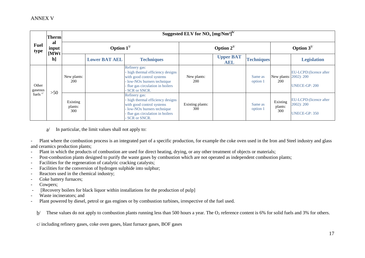| <b>Fuel</b><br>type | <b>Therm</b>                                    | Suggested ELV for $NO_x [mg/Nm^3]^{b/2}$ |                      |                                                                                                                                                                                        |                         |                                |                     |                               |                                                               |  |  |
|---------------------|-------------------------------------------------|------------------------------------------|----------------------|----------------------------------------------------------------------------------------------------------------------------------------------------------------------------------------|-------------------------|--------------------------------|---------------------|-------------------------------|---------------------------------------------------------------|--|--|
|                     | al<br>input<br>$\mathbf{M}\mathbf{W}\mathbf{t}$ |                                          | Option $1^{1/2}$     |                                                                                                                                                                                        | Option $2^{1/2}$        |                                |                     | Option $3^{1/2}$              |                                                               |  |  |
|                     | $\mathbf{h}$                                    |                                          | <b>Lower BAT AEL</b> | <b>Techniques</b>                                                                                                                                                                      |                         | <b>Upper BAT</b><br><b>AEL</b> | <b>Techniques</b>   |                               | <b>Legislation</b>                                            |  |  |
| Other<br>gaseous    | $>50$                                           | New plants:<br>200                       |                      | Refinery gas:<br>- high thermal efficiency designs<br>with good control systems<br>- low-NO <sub>x</sub> burners technique<br>- flue gas circulation in boilers<br>SCR or SNCR.        | New plants:<br>200      |                                | Same as<br>option 1 | New plants: 2002): 200<br>200 | EU-LCPD: (licence after<br>UNECE-GP: 200                      |  |  |
| fuels <sup>c/</sup> |                                                 | Existing<br>plants:<br>300               |                      | Refinery gas:<br>- high thermal efficiency designs<br>with good control systems<br>- low-NO <sub>x</sub> burners technique<br>- flue gas circulation in boilers<br><b>SCR or SNCR.</b> | Existing plants:<br>300 |                                | Same as<br>option 1 | Existing<br>plants:<br>300    | EU-LCPD: (licence after<br>2002): 200<br><b>UNECE-GP: 350</b> |  |  |

a/ In particular, the limit values shall not apply to:

- Plant where the combustion process is an integrated part of a specific production, for example the coke oven used in the Iron and Steel industry and glass and ceramics production plants;

- Plant in which the products of combustion are used for direct heating, drying, or any other treatment of objects or materials;
- Post-combustion plants designed to purify the waste gases by combustion which are not operated as independent combustion plants;
- Facilities for the regeneration of catalytic cracking catalysts;
- Facilities for the conversion of hydrogen sulphide into sulphur;
- Reactors used in the chemical industry;
- Coke battery furnaces;
- Cowpers;
- [Recovery boilers for black liquor within installations for the production of pulp]
- Waste incinerators; and
- Plant powered by diesel, petrol or gas engines or by combustion turbines, irrespective of the fuel used.

 $b/$  These values do not apply to combustion plants running less than 500 hours a year. The  $O_2$  reference content is 6% for solid fuels and 3% for others.

c/ including refinery gases, coke oven gases, blast furnace gases, BOF gases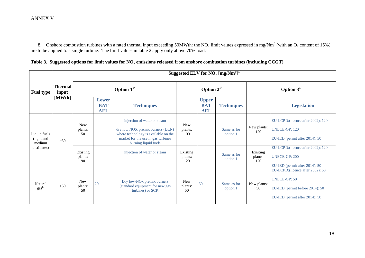8. Onshore combustion turbines with a rated thermal input exceeding 50MWth: the NO<sub>x</sub> limit values expressed in mg/Nm<sup>3</sup> (with an O<sub>2</sub> content of 15%) are to be applied to a single turbine. The limit values in table 2 apply only above 70% load.

| Table 3. Suggested options for limit values for $NOx$ emissions released from onshore combustion turbines (including CCGT) |  |  |
|----------------------------------------------------------------------------------------------------------------------------|--|--|
|----------------------------------------------------------------------------------------------------------------------------|--|--|

|                                                      |                         |                             | Suggested ELV for $NO_x$ [mg/Nm <sup>3]a/</sup> |                                                                                                                                                                       |                              |                                          |                         |                            |                                                                                                                               |  |  |  |
|------------------------------------------------------|-------------------------|-----------------------------|-------------------------------------------------|-----------------------------------------------------------------------------------------------------------------------------------------------------------------------|------------------------------|------------------------------------------|-------------------------|----------------------------|-------------------------------------------------------------------------------------------------------------------------------|--|--|--|
| <b>Fuel type</b>                                     | <b>Thermal</b><br>input | Option $1^{1/2}$            |                                                 |                                                                                                                                                                       | Option $2^{1/2}$             |                                          |                         | Option $3^{1/2}$           |                                                                                                                               |  |  |  |
|                                                      | [MWth]                  |                             | <b>Lower</b><br><b>BAT</b><br><b>AEL</b>        | <b>Techniques</b>                                                                                                                                                     |                              | <b>Upper</b><br><b>BAT</b><br><b>AEL</b> | <b>Techniques</b>       |                            | <b>Legislation</b>                                                                                                            |  |  |  |
| Liquid fuels<br>(light and<br>medium<br>distillates) | >50                     | <b>New</b><br>plants:<br>50 |                                                 | injection of water or steam<br>dry low NOX premix burners (DLN)<br>where technology is available on the<br>market for the use in gas turbines<br>burning liquid fuels | <b>New</b><br>plants:<br>100 |                                          | Same as for<br>option 1 | New plants:<br>120         | EU-LCPD:(licence after 2002): 120<br><b>UNECE-GP: 120</b><br>EU-IED (permit after 2014): 50                                   |  |  |  |
|                                                      |                         | Existing<br>plants:<br>90   |                                                 | injection of water or steam                                                                                                                                           | Existing<br>plants:<br>120   |                                          | Same as for<br>option 1 | Existing<br>plants:<br>120 | EU-LCPD: (licence after 2002): 120<br><b>UNECE-GP: 200</b><br>EU-IED (permit after 2014): 50                                  |  |  |  |
| Natural<br>gas <sup>b/</sup>                         | >50                     | <b>New</b><br>plants:<br>50 | 20                                              | Dry low-NO <sub>x</sub> premix burners<br>(standard equipment for new gas<br>turbines) or SCR                                                                         | <b>New</b><br>plants:<br>50  | 50                                       | Same as for<br>option 1 | New plants:<br>50          | EU-LCPD: (licence after 2002): 50<br><b>UNECE-GP: 50</b><br>EU-IED (permit before 2014): 50<br>EU-IED (permit after 2014): 50 |  |  |  |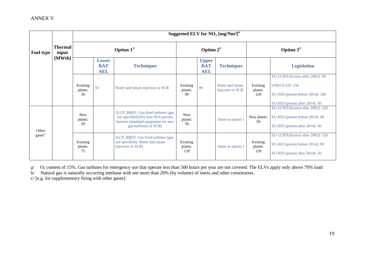|                  |                         |          |                                          |                                  |          |                                          | Suggested ELV for $NO_x$ [mg/Nm <sup>3]a/</sup> |  |
|------------------|-------------------------|----------|------------------------------------------|----------------------------------|----------|------------------------------------------|-------------------------------------------------|--|
| <b>Fuel type</b> | <b>Thermal</b><br>input |          | Option $1^{1/2}$                         |                                  |          | Option $2^{1/2}$                         |                                                 |  |
|                  | [MWth]                  |          | <b>Lower</b><br><b>BAT</b><br><b>AEL</b> | <b>Techniques</b>                |          | <b>Upper</b><br><b>BAT</b><br><b>AEL</b> | <b>Technique</b>                                |  |
|                  |                         | Existing | 50                                       | Water and steam injection or SCR | Existing | 90                                       | Water and stear                                 |  |

| <b>Fuel type</b>    | Thermal<br>input<br>[MWth] |                              | Option $1^{1/2}$                  |                                                                                                                                                      |                             | Option $2^{1/2}$                         |                                     |                            | Option $3^{1/2}$                                                                                                         |  |  |  |
|---------------------|----------------------------|------------------------------|-----------------------------------|------------------------------------------------------------------------------------------------------------------------------------------------------|-----------------------------|------------------------------------------|-------------------------------------|----------------------------|--------------------------------------------------------------------------------------------------------------------------|--|--|--|
|                     |                            |                              | Lower<br><b>BAT</b><br><b>AEL</b> | <b>Techniques</b>                                                                                                                                    |                             | <b>Upper</b><br><b>BAT</b><br><b>AEL</b> | <b>Techniques</b>                   |                            | <b>Legislation</b>                                                                                                       |  |  |  |
|                     |                            | Existing<br>plants:<br>.50   | 50                                | Water and steam injection or SCR                                                                                                                     | Existing<br>plants:<br>90   | 90                                       | Water and steam<br>injection or SCR | Existing<br>plants:<br>120 | EU-LCPD: (licence after 2002): 50<br>UNECE-GP: 150<br>EU-IED (permit before 2014): 100<br>EU-IED (permit after 2014): 50 |  |  |  |
| Other               |                            | <b>New</b><br>plants:<br>.50 |                                   | [LCP_BREF: Gas-fired turbines (gas<br>not specified): Dry low-NO <sub>x</sub> premix<br>burners (standard equipment for new<br>gas turbines) or SCR] | <b>New</b><br>plants:<br>50 |                                          | Same as option 1                    | New plants:<br>50          | EU-LCPD: (licence after 2002): 120<br>EU-IED (permit before 2014): 90<br>EU-IED (permit after 2014): 50                  |  |  |  |
| gases <sup>c/</sup> |                            | Existing<br>plants:<br>75    |                                   | [LCP_BREF: Gas-fired turbines (gas)<br>not specified): Water and steam<br>injection or SCR]                                                          | Existing<br>plants:<br>120  |                                          | Same as option 1                    | Existing<br>plants:<br>120 | EU-LCPD: (licence after 2002): 120<br>EU-IED (permit before 2014): 90<br>EU-IED (permit after 2014): 50                  |  |  |  |

 $a/$  O<sub>2</sub> content of 15%. Gas turbines for emergency use that operate less than 500 hours per year are not covered. The ELVs apply only above 70% load b/ Natural gas is naturally occurring methane with not more than 20% (by volume) of inerts and other constituents.

c/ [e.g. for supplementary firing with other gases]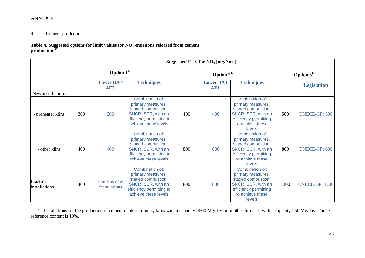# 9. Cement production:

**Table 4. Suggested options for limit values for NO<sup>x</sup> emissions released from cement production a/**

|                           |     | Suggested ELV for $NO_x$ [mg/Nm <sup>3</sup> ] |                                                                                                                                      |     |                                |                                                                                                                                                |                  |                       |  |
|---------------------------|-----|------------------------------------------------|--------------------------------------------------------------------------------------------------------------------------------------|-----|--------------------------------|------------------------------------------------------------------------------------------------------------------------------------------------|------------------|-----------------------|--|
|                           |     | Option $\overline{1}^{\overline{1}}$           |                                                                                                                                      |     | Option $2^{1/2}$               |                                                                                                                                                | Option $3^{1/2}$ |                       |  |
|                           |     | <b>Lower BAT</b><br><b>AEL</b>                 | <b>Techniques</b>                                                                                                                    |     | <b>Lower BAT</b><br><b>AEL</b> | <b>Techniques</b>                                                                                                                              |                  | <b>Legislation</b>    |  |
| New installations         |     |                                                |                                                                                                                                      |     |                                |                                                                                                                                                |                  |                       |  |
| - preheater kilns         | 300 | 200                                            | Combination of:<br>primary measures,<br>staged combustion,<br>SNCR, SCR, with an<br>efficiency permitting to<br>achieve these levels | 400 | 400                            | Combination of:<br>primary measures,<br>staged combustion,<br>SNCR, SCR, with an<br>efficiency permitting<br>to achieve these<br>levels        | 500              | <b>UNECE-GP: 500</b>  |  |
| - other kilns             | 400 | 400                                            | Combination of:<br>primary measures,<br>staged combustion,<br>SNCR, SCR, with an<br>efficiency permitting to<br>achieve these levels | 800 | 800                            | Combination of:<br>primary measures,<br>staged combustion,<br>SNCR, SCR, with an<br>efficiency permitting<br>to achieve these<br><b>levels</b> | 800              | <b>UNECE-GP: 800</b>  |  |
| Existing<br>installations | 400 | Same as new<br>installations                   | Combination of:<br>primary measures,<br>staged combustion,<br>SNCR, SCR, with an<br>efficiency permitting to<br>achieve these levels | 800 | 800                            | Combination of:<br>primary measures,<br>staged combustion,<br>SNCR, SCR, with an<br>efficiency permitting<br>to achieve these<br><b>levels</b> | 1200             | <b>UNECE-GP: 1200</b> |  |

a/ Installations for the production of cement clinker in rotary kilns with a capacity >500 Mg/day or in other furnaces with a capacity >50 Mg/day. The O<sub>2</sub> reference content is 10%.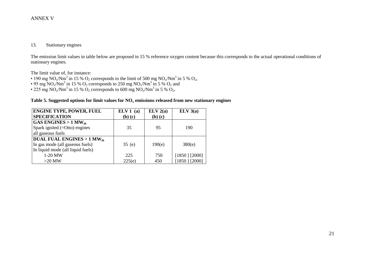### 13. Stationary engines

The emission limit values in table below are proposed in 15 % reference oxygen content because this corresponds to the actual operational conditions of stationary engines.

The limit value of, for instance:

- 190 mg NO<sub>x</sub>/Nm<sup>3</sup> in 15 % O<sub>2</sub> corresponds to the limit of 500 mg NO<sub>x</sub>/Nm<sup>3</sup> in 5 % O<sub>2</sub>,
- 95 mg NO<sub>x</sub>/Nm<sup>3</sup> in 15 % O<sub>2</sub> corresponds to 250 mg NO<sub>x</sub>/Nm<sup>3</sup> in 5 % O<sub>2</sub> and
- 225 mg NO<sub>x</sub>/Nm<sup>3</sup> in 15 % O<sub>2</sub> corresponds to 600 mg NO<sub>x</sub>/Nm<sup>3</sup> in 5 % O<sub>2</sub>.

### **Table 5. Suggested options for limit values for NO<sup>x</sup> emissions released from new stationary engines**

| <b>ENGINE TYPE, POWER, FUEL</b>      | ELV1(a)     | ELV 2(a)    | ELV 3(a)        |
|--------------------------------------|-------------|-------------|-----------------|
| <b>SPECIFICATION</b>                 | $(b)$ $(c)$ | $(b)$ $(c)$ |                 |
| GAS ENGINES $> 1$ MW <sub>th</sub>   |             |             |                 |
| Spark ignited $(=Otto)$ engines      | 35          | 95          | 190             |
| all gaseous fuels                    |             |             |                 |
| <b>DUAL FUAL ENGINES &gt; 1 MWth</b> |             |             |                 |
| In gas mode (all gaseous fuels)      | 35(e)       | 190(e)      | 380(e)          |
| In liquid mode (all liquid fuels)    |             |             |                 |
| 1-20 MW                              | 225         | 750         | $[1850]$ [2000] |
| $>20$ MW                             | 225(e)      | 450         | $[1850]$ [2000] |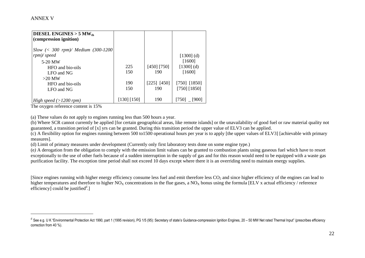$\overline{a}$ 

| DIESEL ENGINES $>$ 5 MW <sub>th</sub><br>(compression ignition) |             |               |                |
|-----------------------------------------------------------------|-------------|---------------|----------------|
| Slow $\left( < 300$ rpm $\right)$ / Medium (300-1200)           |             |               |                |
| $rpm$ /speed                                                    |             |               | $[1300]$ (d)   |
| 5-20 MW                                                         |             |               | [1600]         |
| HFO and bio-oils                                                | 225         | [450] [750]   | $[1300]$ (d)   |
| LFO and NG                                                      | 150         | 190           | [1600]         |
| $>20$ MW                                                        |             |               |                |
| HFO and bio-oils                                                | 190         | $[225]$ [450] | $[750]$ [1850] |
| LFO and NG                                                      | 150         | 190           | [750] [1850]   |
|                                                                 |             |               |                |
| High speed (>1200 rpm)                                          | [130] [150] | 190           | $[750]$ [900]  |

The oxygen reference content is 15%

(a) These values do not apply to engines running less than 500 hours a year.

(b) Where SCR cannot currently be applied [for certain geographical areas, like remote islands] or the unavailability of good fuel or raw material quality not guaranteed, a transition period of [x] yrs can be granted. During this transition period the upper value of ELV3 can be applied.

(c) A flexibility option for engines running between 500 to1500 operational hours per year is to apply [the upper values of ELV3] [achievable with primary measures].

(d) Limit of primary measures under development (Currently only first laboratory tests done on some engine type.)

(e*)* A derogation from the obligation to comply with the emission limit values can be granted to combustion plants using gaseous fuel which have to resort exceptionally to the use of other fuels because of a sudden interruption in the supply of gas and for this reason would need to be equipped with a waste gas purification facility. The exception time period shall not exceed 10 days except where there it is an overriding need to maintain energy supplies.

[Since engines running with higher energy efficiency consume less fuel and emit therefore less CO<sub>2</sub> and since higher efficiency of the engines can lead to higher temperatures and therefore to higher  $NO<sub>x</sub>$  concentrations in the flue gases, a  $NO<sub>x</sub>$  bonus using the formula [ELV x actual efficiency / reference efficiency] could be justified $d$ .]

<sup>&</sup>lt;sup>d</sup> See e.g. U K "Environmental Protection Act 1990, part 1 (1995 revision), PG 1/5 (95): Secretary of state's Guidance-compression Ignition Engines, 20 – 50 MW Net rated Thermal Input" (prescribes efficiency correction from 40 %).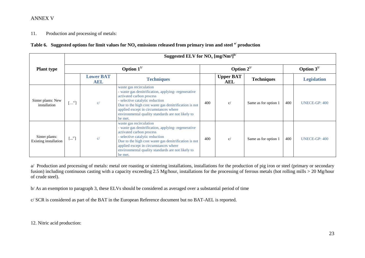11. Production and processing of metals:

|  |  | Table 6. Suggested options for limit values for $NO_x$ emissions released from primary iron and steel $a^{\prime}$ production |  |  |  |
|--|--|-------------------------------------------------------------------------------------------------------------------------------|--|--|--|
|--|--|-------------------------------------------------------------------------------------------------------------------------------|--|--|--|

|                                         | Suggested ELV for $NO_x$ [mg/Nm <sup>3]b/</sup> |                                |                                                                                                                                                                                                                                                                                                                |     |                                |                      |     |                      |  |
|-----------------------------------------|-------------------------------------------------|--------------------------------|----------------------------------------------------------------------------------------------------------------------------------------------------------------------------------------------------------------------------------------------------------------------------------------------------------------|-----|--------------------------------|----------------------|-----|----------------------|--|
| <b>Plant type</b>                       | Option $1^{1/2}$                                |                                |                                                                                                                                                                                                                                                                                                                |     | Option $2^{1/2}$               | Option $3^{1/2}$     |     |                      |  |
|                                         |                                                 | <b>Lower BAT</b><br><b>AEL</b> | <b>Techniques</b>                                                                                                                                                                                                                                                                                              |     | <b>Upper BAT</b><br><b>AEL</b> | <b>Techniques</b>    |     | <b>Legislation</b>   |  |
| Sinter plants: New<br>installation      | $\left(\ldots^{c/2}\right)$                     | c/                             | waste gas recirculation<br>- waste gas denitrification, applying-regenerative<br>activated carbon process<br>- selective catalytic reduction<br>Due to the high cost waste gas denitrification is not<br>applied except in circumstances where<br>environmental quality standards are not likely to<br>be met. | 400 | c/                             | Same as for option 1 | 400 | <b>UNECE-GP: 400</b> |  |
| Sinter plants:<br>Existing installation | $\left[\ldots^{c/} \right]$                     | C/                             | waste gas recirculation<br>- waste gas denitrification, applying-regenerative<br>activated carbon process<br>- selective catalytic reduction<br>Due to the high cost waste gas denitrification is not<br>applied except in circumstances where<br>environmental quality standards are not likely to<br>be met. | 400 | c/                             | Same as for option 1 | 400 | UNECE-GP: 400        |  |

a/ Production and processing of metals: metal ore roasting or sintering installations, installations for the production of pig iron or steel (primary or secondary fusion) including continuous casting with a capacity exceeding 2.5 Mg/hour, installations for the processing of ferrous metals (hot rolling mills > 20 Mg/hour of crude steel).

b/ As an exemption to paragraph 3, these ELVs should be considered as averaged over a substantial period of time

c/ SCR is considered as part of the BAT in the European Reference document but no BAT-AEL is reported.

12. Nitric acid production: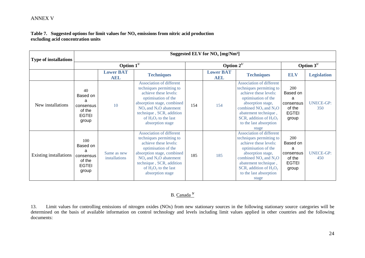### **Table 7. Suggested options for limit values for NO<sup>x</sup> emissions from nitric acid production excluding acid concentration units**

| <b>Type of installations</b> | Suggested ELV for $NO_x$ [mg/Nm <sup>3</sup> ]                       |                                |                                                                                                                                                                                                                                                   |     |                                |                                                                                                                                                                                                                                                      |                                                                      |                         |  |
|------------------------------|----------------------------------------------------------------------|--------------------------------|---------------------------------------------------------------------------------------------------------------------------------------------------------------------------------------------------------------------------------------------------|-----|--------------------------------|------------------------------------------------------------------------------------------------------------------------------------------------------------------------------------------------------------------------------------------------------|----------------------------------------------------------------------|-------------------------|--|
|                              | Option $1^{1/2}$                                                     |                                |                                                                                                                                                                                                                                                   |     | Option $2^{1/2}$               |                                                                                                                                                                                                                                                      | Option $3^{1/2}$                                                     |                         |  |
|                              |                                                                      | <b>Lower BAT</b><br><b>AEL</b> | <b>Techniques</b>                                                                                                                                                                                                                                 |     | <b>Lower BAT</b><br><b>AEL</b> | <b>Techniques</b>                                                                                                                                                                                                                                    | <b>ELV</b>                                                           | <b>Legislation</b>      |  |
| New installations            | 40<br>Based on<br>a<br>consensus<br>of the<br><b>EGTEI</b><br>group  | 10                             | <b>Association of different</b><br>techniques permitting to<br>achieve these levels:<br>optimisation of the<br>absorption stage, combined<br>$NOx$ and $N2O$ abatement<br>technique, SCR, addition<br>of $H_2O_2$ to the last<br>absorption stage | 154 | 154                            | <b>Association of different</b><br>techniques permitting to<br>achieve these levels:<br>optimisation of the<br>absorption stage,<br>combined $NOx$ and $N2O$<br>abatement technique,<br>SCR, addition of $H_2O_2$<br>to the last absorption<br>stage | 200<br>Based on<br>a<br>consensus<br>of the<br><b>EGTEI</b><br>group | <b>UNECE-GP:</b><br>350 |  |
| Existing installations       | 100<br>Based on<br>a<br>consensus<br>of the<br><b>EGTEI</b><br>group | Same as new<br>installations   | Association of different<br>techniques permitting to<br>achieve these levels:<br>optimisation of the<br>absorption stage, combined<br>$NOx$ and $N2O$ abatement<br>technique, SCR, addition<br>of $H_2O_2$ to the last<br>absorption stage        | 185 | 185                            | <b>Association of different</b><br>techniques permitting to<br>achieve these levels:<br>optimisation of the<br>absorption stage,<br>combined $NOx$ and $N2O$<br>abatement technique,<br>SCR, addition of $H_2O_2$<br>to the last absorption<br>stage | 200<br>Based on<br>a<br>consensus<br>of the<br><b>EGTEI</b><br>group | <b>UNECE-GP:</b><br>450 |  |

# B. Canada **3/**

13. Limit values for controlling emissions of nitrogen oxides (NOx) from new stationary sources in the following stationary source categories will be determined on the basis of available information on control technology and levels including limit values applied in other countries and the following documents: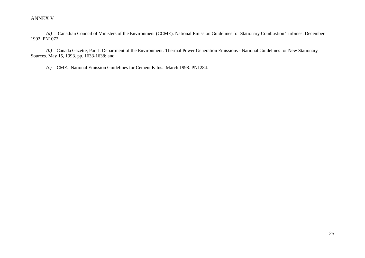*(a)* Canadian Council of Ministers of the Environment (CCME). National Emission Guidelines for Stationary Combustion Turbines. December 1992. PN1072;

*(b)* Canada Gazette, Part I. Department of the Environment. Thermal Power Generation Emissions - National Guidelines for New Stationary Sources. May 15, 1993. pp. 1633-1638; and

*(c)* CME. National Emission Guidelines for Cement Kilns. March 1998. PN1284.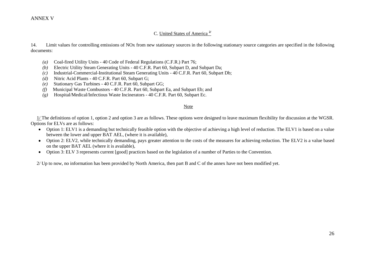### C. United States of America **2/**

14. Limit values for controlling emissions of NOx from new stationary sources in the following stationary source categories are specified in the following documents:

- *(a)* Coal-fired Utility Units 40 Code of Federal Regulations (C.F.R.) Part 76;
- *(b)* Electric Utility Steam Generating Units 40 C.F.R. Part 60, Subpart D, and Subpart Da;
- *(c)* Industrial-Commercial-Institutional Steam Generating Units 40 C.F.R. Part 60, Subpart Db;
- *(d)* Nitric Acid Plants 40 C.F.R. Part 60, Subpart G;
- *(e)* Stationary Gas Turbines 40 C.F.R. Part 60, Subpart GG;
- *(f)* Municipal Waste Combustors 40 C.F.R. Part 60, Subpart Ea, and Subpart Eb; and
- *(g)* Hospital/Medical/Infectious Waste Incinerators 40 C.F.R. Part 60, Subpart Ec.

#### Note

 1/ The definitions of option 1, option 2 and option 3 are as follows. These options were designed to leave maximum flexibility for discussion at the WGSR. Options for ELVs are as follows:

- Option 1: ELV1 is a demanding but technically feasible option with the objective of achieving a high level of reduction. The ELV1 is based on a value between the lower and upper BAT AEL, (where it is available),
- Option 2: ELV2, while technically demanding, pays greater attention to the costs of the measures for achieving reduction. The ELV2 is a value based on the upper BAT AEL (where it is available),
- Option 3: ELV 3 represents current [good] practices based on the legislation of a number of Parties to the Convention.

2/ Up to now, no information has been provided by North America, then part B and C of the annex have not been modified yet.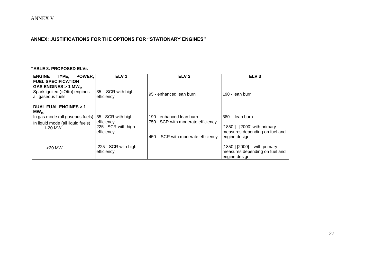# **ANNEX: JUSTIFICATIONS FOR THE OPTIONS FOR "STATIONARY ENGINES"**

#### **TABLE 8. PROPOSED ELVs**

| <b>ENGINE</b><br>TYPE,<br>POWER,<br><b>FUEL SPECIFICATION</b>                                                                   | ELV <sub>1</sub>                                                      | ELV <sub>2</sub>                                                                                     | ELV <sub>3</sub>                                                                                 |
|---------------------------------------------------------------------------------------------------------------------------------|-----------------------------------------------------------------------|------------------------------------------------------------------------------------------------------|--------------------------------------------------------------------------------------------------|
| GAS ENGINES $> 1$ MW <sub>th</sub><br>Spark ignited (=Otto) engines<br>all gaseous fuels                                        | 35 - SCR with high<br>efficiency                                      | 95 - enhanced lean burn                                                                              | 190 - lean burn                                                                                  |
| <b>DUAL FUAL ENGINES &gt; 1</b><br>$MW_{th}$<br>In gas mode (all gaseous fuels)<br>In liquid mode (all liquid fuels)<br>1-20 MW | 35 - SCR with high<br>efficiency<br>225 - SCR with high<br>efficiency | 190 - enhanced lean burn<br>750 - SCR with moderate efficiency<br>450 – SCR with moderate efficiency | 380 - lean burn<br>[1850] [2000] with primary<br>measures depending on fuel and<br>engine design |
| $>20$ MW                                                                                                                        | 225 SCR with high<br>efficiency                                       |                                                                                                      | $[1850]$ [2000] - with primary<br>measures depending on fuel and<br>engine design                |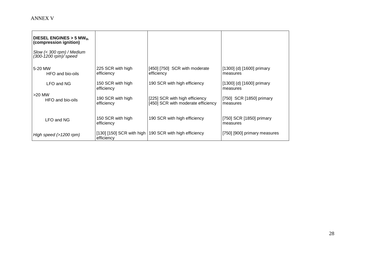| DIESEL ENGINES $>$ 5 MW <sub>th</sub><br>(compression ignition)  |                                 |                                                                      |                                           |
|------------------------------------------------------------------|---------------------------------|----------------------------------------------------------------------|-------------------------------------------|
| $S \sim (0.300$ rpm $)$ / Medium<br>$(300 - 1200$ rpm $)/$ speed |                                 |                                                                      |                                           |
| 5-20 MW<br>HFO and bio-oils                                      | 225 SCR with high<br>efficiency | $[450]$ $[750]$ SCR with moderate<br>efficiency                      | $[1300]$ (d) $[1600]$ primary<br>measures |
| LFO and NG                                                       | 150 SCR with high<br>efficiency | 190 SCR with high efficiency                                         | $[1300]$ (d) $[1600]$ primary<br>measures |
| $>20$ MW<br>HFO and bio-oils                                     | 190 SCR with high<br>efficiency | [225] SCR with high efficiency<br>[450] SCR with moderate efficiency | [750] SCR [1850] primary<br>measures      |
| LFO and NG                                                       | 150 SCR with high<br>efficiency | 190 SCR with high efficiency                                         | [750] SCR [1850] primary<br>measures      |
| High speed $(>1200$ rpm)                                         | efficiency                      | [130] [150] SCR with high   190 SCR with high efficiency             | [750] [900] primary measures              |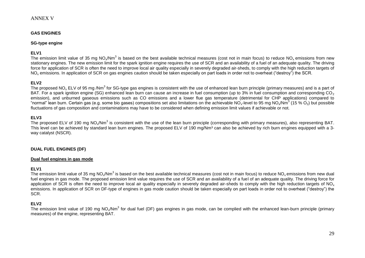#### **GAS ENGINES**

#### **SG-type engine**

#### **ELV1**

The emission limit value of 35 mg NO<sub>x</sub>/Nm<sup>3</sup> is based on the best available technical measures (cost not in main focus) to reduce NO<sub>x</sub> emissions from new stationary engines. The new emission limit for the spark ignition engine requires the use of SCR and an availability of a fuel of an adequate quality. The driving force for application of SCR is often the need to improve local air quality especially in severely degraded air-sheds, to comply with the high reduction targets of NO<sup>x</sup> emissions. In application of SCR on gas engines caution should be taken especially on part loads in order not to overheat ("destroy") the SCR.

#### **ELV2**

The proposed NO<sub>x</sub> ELV of 95 mg /Nm $^3$  for SG-type gas engines is consistent with the use of enhanced lean burn principle (primary measures) and is a part of BAT. For a spark ignition engine (SG) enhanced lean burn can cause an increase in fuel consumption (up to 3% in fuel consumption and corresponding CO<sub>2</sub> emission), and unburned gaseous emissions such as CO emissions and a lower flue gas temperature (detrimental for CHP applications) compared to "normal" lean burn. Certain gas (e.g. some bio gases) compositions set also limitations on the achievable NO<sub>x</sub>-level to 95 mg NO<sub>x</sub>/Nm<sup>3</sup> (15 % O<sub>2</sub>) but possible fluctuations of gas composition and contaminations may have to be considered when defining emission limit values if achievable or not.

#### **ELV3**

The proposed ELV of 190 mg NO<sub>x</sub>/Nm<sup>3</sup> is consistent with the use of the lean burn principle (corresponding with primary measures), also representing BAT. This level can be achieved by standard lean burn engines. The proposed ELV of 190 mg/Nm<sup>3</sup> can also be achieved by rich burn engines equipped with a 3way catalyst (NSCR).

#### **DUAL FUEL ENGINES (DF)**

#### **Dual fuel engines in gas mode**

#### **ELV1**

The emission limit value of 35 mg NO<sub>x</sub>/Nm<sup>3</sup> is based on the best available technical measures (cost not in main focus) to reduce NO<sub>x</sub> emissions from new dual fuel engines in gas mode. The proposed emission limit value requires the use of SCR and an availability of a fuel of an adequate quality. The driving force for application of SCR is often the need to improve local air quality especially in severely degraded air-sheds to comply with the high reduction targets of NO<sub>x</sub> emissions. In application of SCR on DF-type of engines in gas mode caution should be taken especially on part loads in order not to overheat ("destroy") the SCR.

#### **ELV2**

The emission limit value of 190 mg NO<sub>x</sub>/Nm<sup>3</sup> for dual fuel (DF) gas engines in gas mode, can be complied with the enhanced lean-burn principle (primary measures) of the engine, representing BAT.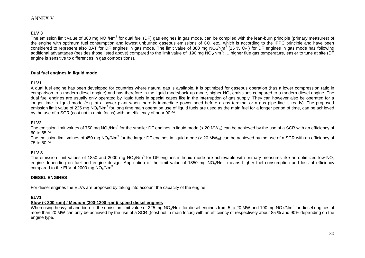#### **ELV 3**

The emission limit value of 380 mg NO<sub>x</sub>/Nm<sup>3</sup> for dual fuel (DF) gas engines in gas mode, can be complied with the lean-burn principle (primary measures) of the engine with optimum fuel consumption and lowest unburned gaseous emissions of CO, etc., which is according to the IPPC principle and have been considered to represent also BAT for DF engines in gas mode. The limit value of 380 mg NO<sub>x</sub>/Nm<sup>3</sup> (15 % O<sub>2</sub>) for DF engines in gas mode has following additional advantages (besides those listed above) compared to the limit value of 190 mg NO<sub>x</sub>/Nm<sup>3</sup>: ... higher flue gas temperature, easier to tune at site (DF engine is sensitive to differences in gas compositions).

#### **Dual fuel engines in liquid mode**

#### **ELV1**

A dual fuel engine has been developed for countries where natural gas is available. It is optimized for gaseous operation (has a lower compression ratio in comparison to a modern diesel engine) and has therefore in the liquid mode/back-up mode, higher NO<sub>x</sub> emissions compared to a modern diesel engine. The dual fuel engines are usually only operated by liquid fuels in special cases like in the interruption of gas supply. They can however also be operated for a longer time in liquid mode (e.g. at a power plant when there is immediate power need before a gas terminal or a gas pipe line is ready). The proposed emission limit value of 225 mg NO<sub>x</sub>/Nm<sup>3</sup> for long time main operation use of liquid fuels are used as the main fuel for a longer period of time, can be achieved by the use of a SCR (cost not in main focus) with an efficiency of near 90 %.

#### **ELV2**

The emission limit values of 750 mg NO<sub>x</sub>/Nm<sup>3</sup> for the smaller DF engines in liquid mode (< 20 MW<sub>th</sub>) can be achieved by the use of a SCR with an efficiency of 60 to 65 %.

The emission limit values of 450 mg NO<sub>x</sub>/Nm<sup>3</sup> for the larger DF engines in liquid mode (> 20 MW<sub>th</sub>) can be achieved by the use of a SCR with an efficiency of 75 to 80 %.

### **ELV 3**

The emission limit values of 1850 and 2000 mg NO<sub>x</sub>/Nm<sup>3</sup> for DF engines in liquid mode are achievable with primary measures like an optimized low-NO<sub>x</sub> engine depending on fuel and engine design. Application of the limit value of 1850 mg NO<sub>x</sub>/Nm<sup>3</sup> means higher fuel consumption and loss of efficiency compared to the  $ELV$  of 2000 mg  $NO_x/Nm^3$ .

#### **DIESEL ENGINES**

For diesel engines the ELVs are proposed by taking into account the capacity of the engine.

#### **ELV1**

#### **Slow (< 300 rpm) / Medium (300-1200 rpm)/ speed diesel engines**

When using heavy oil and bio-oils the emission limit value of 225 mg NO<sub>x</sub>/Nm<sup>3</sup> for diesel engines <u>from 5 to 20 MW</u> and 190 mg NOx/Nm<sup>3</sup> for diesel engines of more than 20 MW can only be achieved by the use of a SCR ((cost not in main focus) with an efficiency of respectively about 85 % and 90% depending on the engine type.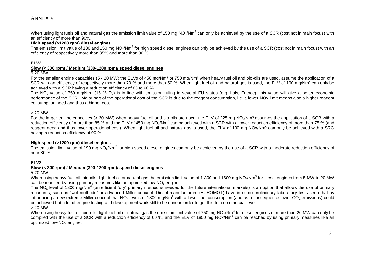When using light fuels oil and natural gas the emission limit value of 150 mg NO<sub>x</sub>/Nm<sup>3</sup> can only be achieved by the use of a SCR (cost not in main focus) with an efficiency of more than 90%.

#### **High speed (>1200 rpm) diesel engines**

The emission limit value of 130 and 150 mg NO<sub>x</sub>/Nm<sup>3</sup> for high speed diesel engines can only be achieved by the use of a SCR (cost not in main focus) with an efficiency of respectively more than 85% and more than 80 %.

#### **ELV2**

#### **Slow (< 300 rpm) / Medium (300-1200 rpm)/ speed diesel engines**

#### 5-20 MW

For the smaller engine capacities (5 - 20 MW) the ELVs of 450 mg/Nm<sup>3</sup> or 750 mg/Nm<sup>3</sup> when heavy fuel oil and bio-oils are used, assume the application of a SCR with an efficiency of respectively more than 70 % and more than 50 %. When light fuel oil and natural gas is used, the ELV of 190 mg/Nm<sup>3</sup> can only be achieved with a SCR having a reduction efficiency of 85 to 90 %.

The NO<sub>x</sub> value of 750 mg/Nm<sup>3</sup> (15 % O<sub>2</sub>) is in line with emission ruling in several EU states (e.g. Italy, France), this value will give a better economic performance of the SCR. Major part of the operational cost of the SCR is due to the reagent consumption, i.e. a lower NOx limit means also a higher reagent consumption need and thus a higher cost.

#### > 20 MW

For the larger engine capacities (> 20 MW) when heavy fuel oil and bio-oils are used, the ELV of 225 mg NO<sub>x</sub>/Nm<sup>3</sup> assumes the application of a SCR with a reduction efficiency of more than 85 % and the ELV of 450 mg NO<sub>x</sub>/Nm<sup>3</sup> can be achieved with a SCR with a lower reduction efficiency of more than 75 % (and reagent need and thus lower operational cost). When light fuel oil and natural gas is used, the ELV of 190 mg NOx/Nm<sup>3</sup> can only be achieved with a SRC having a reduction efficiency of 90 %.

#### **High speed (>1200 rpm) diesel engines**

The emission limit value of 190 mg NO<sub>x</sub>/Nm<sup>3</sup> for high speed diesel engines can only be achieved by the use of a SCR with a moderate reduction efficiency of near 80 %.

#### **ELV3**

#### **Slow (< 300 rpm) / Medium (300-1200 rpm)/ speed diesel engines**

#### 5-20 MW

When using heavy fuel oil, bio-oils, light fuel oil or natural gas the emission limit value of 1 300 and 1600 mg NO<sub>x</sub>/Nm<sup>3</sup> for diesel engines from 5 MW to 20 MW can be reached by using primary measures like an optimized low-NO<sub>x</sub> engine.

The NO<sub>x</sub> level of 1300 mg/Nm<sup>3</sup> (an efficient "dry" primary method is needed for the future international markets) is an option that allows the use of primary measures, such as "wet methods" or advanced Miller concept. Diesel manufacturers (EUROMOT) have in some preliminary laboratory tests seen that by introducing a new extreme Miller concept that NO<sub>x</sub>-levels of 1300 mg/Nm<sup>3</sup> with a lower fuel consumption (and as a consequence lower CO<sub>2</sub> emissions) could be achieved but a lot of engine testing and development work still to be done in order to get this to a commercial level.

#### > 20 MW

When using heavy fuel oil, bio-oils, light fuel oil or natural gas the emission limit value of 750 mg NO<sub>x</sub>/Nm<sup>3</sup> for diesel engines of more than 20 MW can only be complied with the use of a SCR with a reduction efficiency of 60 %, and the ELV of 1850 mg NOx/Nm<sup>3</sup> can be reached by using primary measures like an optimized low-NO<sub>x</sub> engine.